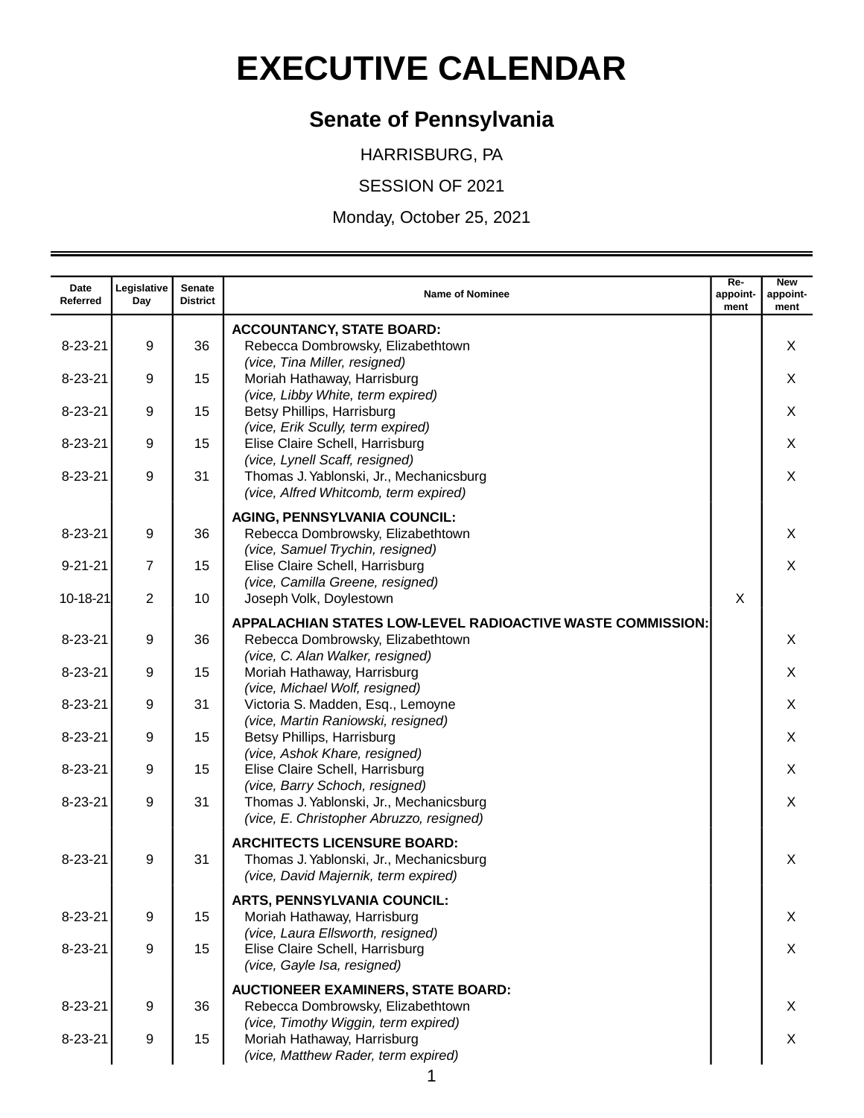## **EXECUTIVE CALENDAR**

## **Senate of Pennsylvania**

HARRISBURG, PA

SESSION OF 2021

Monday, October 25, 2021

| Date<br>Referred | Legislative<br>Day | Senate<br><b>District</b> | <b>Name of Nominee</b>                                                                                                              | Re-<br>appoint-<br>ment | <b>New</b><br>appoint-<br>ment |
|------------------|--------------------|---------------------------|-------------------------------------------------------------------------------------------------------------------------------------|-------------------------|--------------------------------|
| $8 - 23 - 21$    | 9                  | 36                        | <b>ACCOUNTANCY, STATE BOARD:</b><br>Rebecca Dombrowsky, Elizabethtown                                                               |                         | X                              |
| $8 - 23 - 21$    | 9                  | 15                        | (vice, Tina Miller, resigned)<br>Moriah Hathaway, Harrisburg                                                                        |                         | X                              |
| $8 - 23 - 21$    | 9                  | 15                        | (vice, Libby White, term expired)<br>Betsy Phillips, Harrisburg<br>(vice, Erik Scully, term expired)                                |                         | X                              |
| $8 - 23 - 21$    | 9                  | 15                        | Elise Claire Schell, Harrisburg<br>(vice, Lynell Scaff, resigned)                                                                   |                         | X                              |
| $8 - 23 - 21$    | 9                  | 31                        | Thomas J. Yablonski, Jr., Mechanicsburg<br>(vice, Alfred Whitcomb, term expired)                                                    |                         | X                              |
| $8 - 23 - 21$    | 9                  | 36                        | <b>AGING, PENNSYLVANIA COUNCIL:</b><br>Rebecca Dombrowsky, Elizabethtown                                                            |                         | X                              |
| $9 - 21 - 21$    | $\overline{7}$     | 15                        | (vice, Samuel Trychin, resigned)<br>Elise Claire Schell, Harrisburg<br>(vice, Camilla Greene, resigned)                             |                         | X                              |
| 10-18-21         | $\overline{2}$     | 10                        | Joseph Volk, Doylestown                                                                                                             | X                       |                                |
| $8 - 23 - 21$    | 9                  | 36                        | APPALACHIAN STATES LOW-LEVEL RADIOACTIVE WASTE COMMISSION:<br>Rebecca Dombrowsky, Elizabethtown<br>(vice, C. Alan Walker, resigned) |                         | X                              |
| $8 - 23 - 21$    | 9                  | 15                        | Moriah Hathaway, Harrisburg<br>(vice, Michael Wolf, resigned)                                                                       |                         | X                              |
| $8 - 23 - 21$    | 9                  | 31                        | Victoria S. Madden, Esq., Lemoyne<br>(vice, Martin Raniowski, resigned)                                                             |                         | X                              |
| $8 - 23 - 21$    | 9                  | 15                        | Betsy Phillips, Harrisburg<br>(vice, Ashok Khare, resigned)                                                                         |                         | X                              |
| $8 - 23 - 21$    | 9                  | 15                        | Elise Claire Schell, Harrisburg<br>(vice, Barry Schoch, resigned)                                                                   |                         | X                              |
| $8 - 23 - 21$    | 9                  | 31                        | Thomas J. Yablonski, Jr., Mechanicsburg<br>(vice, E. Christopher Abruzzo, resigned)                                                 |                         | X                              |
| $8 - 23 - 21$    | 9                  | 31                        | <b>ARCHITECTS LICENSURE BOARD:</b><br>Thomas J. Yablonski, Jr., Mechanicsburg<br>(vice, David Majernik, term expired)               |                         | X                              |
| $8 - 23 - 21$    | 9                  | 15                        | <b>ARTS, PENNSYLVANIA COUNCIL:</b><br>Moriah Hathaway, Harrisburg                                                                   |                         | X                              |
| $8 - 23 - 21$    | 9                  | 15                        | (vice, Laura Ellsworth, resigned)<br>Elise Claire Schell, Harrisburg<br>(vice, Gayle Isa, resigned)                                 |                         | X                              |
| $8 - 23 - 21$    | 9                  | 36                        | <b>AUCTIONEER EXAMINERS, STATE BOARD:</b><br>Rebecca Dombrowsky, Elizabethtown                                                      |                         | X                              |
| $8 - 23 - 21$    | 9                  | 15                        | (vice, Timothy Wiggin, term expired)<br>Moriah Hathaway, Harrisburg<br>(vice, Matthew Rader, term expired)                          |                         | X                              |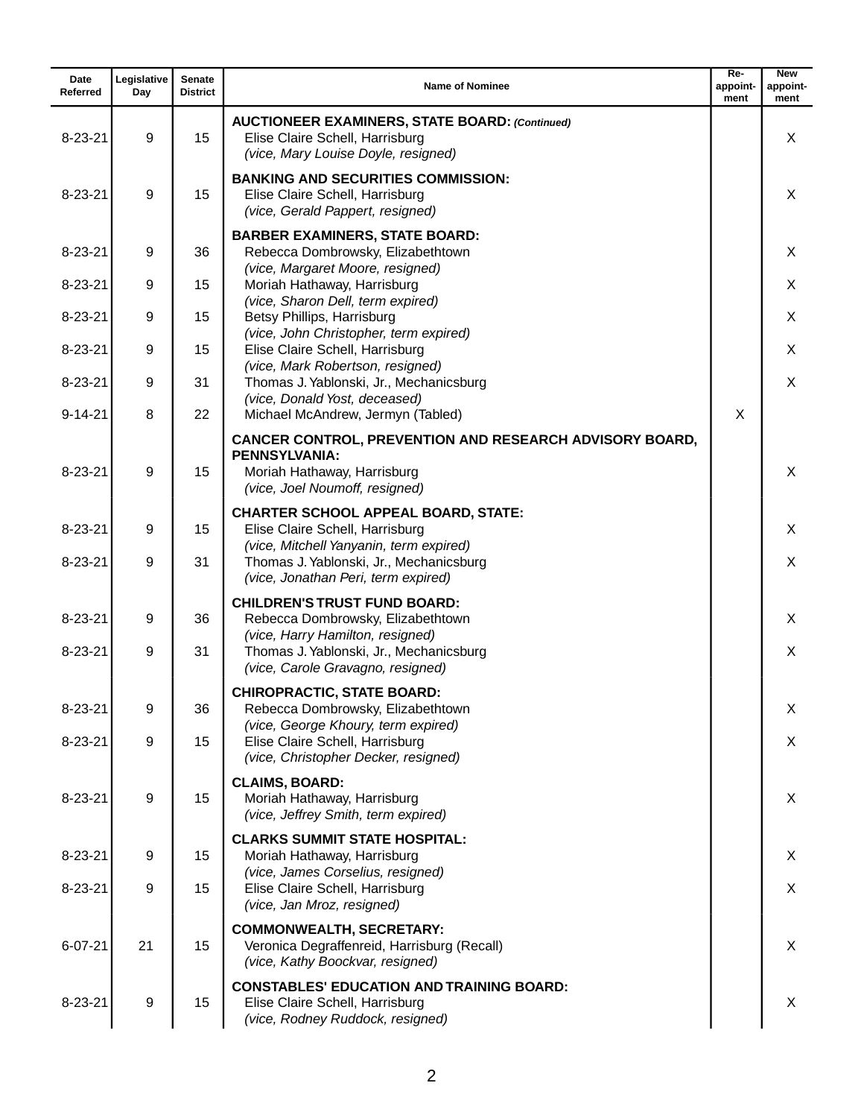| Date<br>Referred | Legislative<br>Day | <b>Senate</b><br><b>District</b> | <b>Name of Nominee</b>                                                                                                                           | $Re-$<br>appoint-<br>ment | <b>New</b><br>appoint-<br>ment |
|------------------|--------------------|----------------------------------|--------------------------------------------------------------------------------------------------------------------------------------------------|---------------------------|--------------------------------|
| $8 - 23 - 21$    | 9                  | 15                               | <b>AUCTIONEER EXAMINERS, STATE BOARD: (Continued)</b><br>Elise Claire Schell, Harrisburg<br>(vice, Mary Louise Doyle, resigned)                  |                           | X                              |
| $8 - 23 - 21$    | 9                  | 15                               | <b>BANKING AND SECURITIES COMMISSION:</b><br>Elise Claire Schell, Harrisburg<br>(vice, Gerald Pappert, resigned)                                 |                           | X                              |
| $8 - 23 - 21$    | 9                  | 36                               | <b>BARBER EXAMINERS, STATE BOARD:</b><br>Rebecca Dombrowsky, Elizabethtown                                                                       |                           | X                              |
| $8 - 23 - 21$    | 9                  | 15                               | (vice, Margaret Moore, resigned)<br>Moriah Hathaway, Harrisburg                                                                                  |                           | X                              |
| $8 - 23 - 21$    | 9                  | 15                               | (vice, Sharon Dell, term expired)<br>Betsy Phillips, Harrisburg<br>(vice, John Christopher, term expired)                                        |                           | X                              |
| $8 - 23 - 21$    | 9                  | 15                               | Elise Claire Schell, Harrisburg<br>(vice, Mark Robertson, resigned)                                                                              |                           | X                              |
| $8 - 23 - 21$    | 9                  | 31                               | Thomas J. Yablonski, Jr., Mechanicsburg<br>(vice, Donald Yost, deceased)                                                                         |                           | X                              |
| $9 - 14 - 21$    | 8                  | 22                               | Michael McAndrew, Jermyn (Tabled)                                                                                                                | X                         |                                |
| $8 - 23 - 21$    | 9                  | 15                               | CANCER CONTROL, PREVENTION AND RESEARCH ADVISORY BOARD,<br><b>PENNSYLVANIA:</b><br>Moriah Hathaway, Harrisburg<br>(vice, Joel Noumoff, resigned) |                           | X                              |
| $8 - 23 - 21$    | 9                  | 15                               | <b>CHARTER SCHOOL APPEAL BOARD, STATE:</b><br>Elise Claire Schell, Harrisburg<br>(vice, Mitchell Yanyanin, term expired)                         |                           | X                              |
| $8 - 23 - 21$    | 9                  | 31                               | Thomas J. Yablonski, Jr., Mechanicsburg<br>(vice, Jonathan Peri, term expired)                                                                   |                           | X                              |
| $8 - 23 - 21$    | 9                  | 36                               | <b>CHILDREN'S TRUST FUND BOARD:</b><br>Rebecca Dombrowsky, Elizabethtown<br>(vice, Harry Hamilton, resigned)                                     |                           | X                              |
| $8 - 23 - 21$    | 9                  | 31                               | Thomas J. Yablonski, Jr., Mechanicsburg<br>(vice, Carole Gravagno, resigned)                                                                     |                           | X                              |
| $8 - 23 - 21$    | 9                  | 36                               | <b>CHIROPRACTIC, STATE BOARD:</b><br>Rebecca Dombrowsky, Elizabethtown<br>(vice, George Khoury, term expired)                                    |                           | X                              |
| $8 - 23 - 21$    | 9                  | 15                               | Elise Claire Schell, Harrisburg<br>(vice, Christopher Decker, resigned)                                                                          |                           | X                              |
| $8 - 23 - 21$    | $\boldsymbol{9}$   | 15                               | <b>CLAIMS, BOARD:</b><br>Moriah Hathaway, Harrisburg<br>(vice, Jeffrey Smith, term expired)                                                      |                           | X                              |
| $8 - 23 - 21$    | 9                  | 15                               | <b>CLARKS SUMMIT STATE HOSPITAL:</b><br>Moriah Hathaway, Harrisburg                                                                              |                           | X                              |
| $8 - 23 - 21$    | 9                  | 15                               | (vice, James Corselius, resigned)<br>Elise Claire Schell, Harrisburg<br>(vice, Jan Mroz, resigned)                                               |                           | X                              |
| $6 - 07 - 21$    | 21                 | 15                               | <b>COMMONWEALTH, SECRETARY:</b><br>Veronica Degraffenreid, Harrisburg (Recall)<br>(vice, Kathy Boockvar, resigned)                               |                           | X                              |
| $8 - 23 - 21$    | 9                  | 15                               | <b>CONSTABLES' EDUCATION AND TRAINING BOARD:</b><br>Elise Claire Schell, Harrisburg<br>(vice, Rodney Ruddock, resigned)                          |                           | X                              |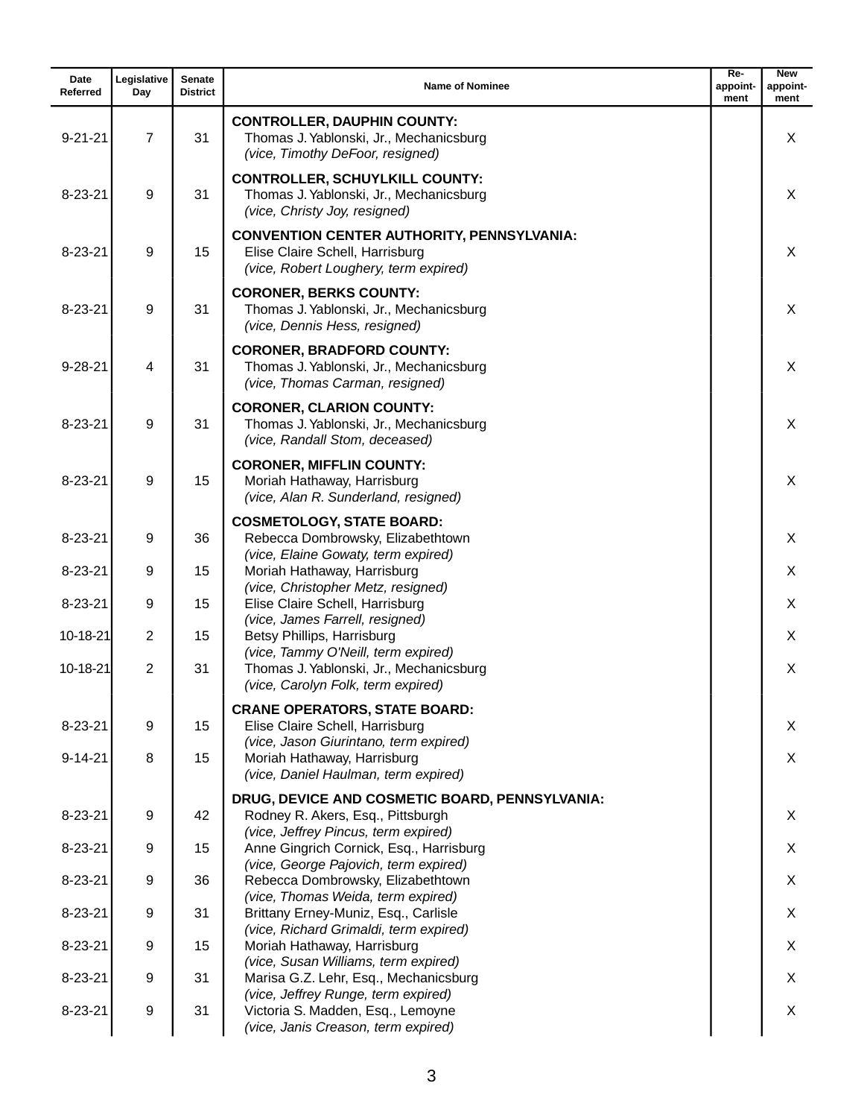| Date<br>Referred | Legislative<br>Day | Senate<br><b>District</b> | <b>Name of Nominee</b>                                                                                                        | $Re-$<br>appoint-<br>ment | <b>New</b><br>appoint-<br>ment |
|------------------|--------------------|---------------------------|-------------------------------------------------------------------------------------------------------------------------------|---------------------------|--------------------------------|
| $9 - 21 - 21$    | $\overline{7}$     | 31                        | <b>CONTROLLER, DAUPHIN COUNTY:</b><br>Thomas J. Yablonski, Jr., Mechanicsburg<br>(vice, Timothy DeFoor, resigned)             |                           | X                              |
| $8 - 23 - 21$    | 9                  | 31                        | <b>CONTROLLER, SCHUYLKILL COUNTY:</b><br>Thomas J. Yablonski, Jr., Mechanicsburg<br>(vice, Christy Joy, resigned)             |                           | X                              |
| $8 - 23 - 21$    | 9                  | 15                        | <b>CONVENTION CENTER AUTHORITY, PENNSYLVANIA:</b><br>Elise Claire Schell, Harrisburg<br>(vice, Robert Loughery, term expired) |                           | X                              |
| $8 - 23 - 21$    | 9                  | 31                        | <b>CORONER, BERKS COUNTY:</b><br>Thomas J. Yablonski, Jr., Mechanicsburg<br>(vice, Dennis Hess, resigned)                     |                           | X                              |
| $9 - 28 - 21$    | 4                  | 31                        | <b>CORONER, BRADFORD COUNTY:</b><br>Thomas J. Yablonski, Jr., Mechanicsburg<br>(vice, Thomas Carman, resigned)                |                           | X                              |
| $8 - 23 - 21$    | 9                  | 31                        | <b>CORONER, CLARION COUNTY:</b><br>Thomas J. Yablonski, Jr., Mechanicsburg<br>(vice, Randall Stom, deceased)                  |                           | X                              |
| $8 - 23 - 21$    | 9                  | 15                        | <b>CORONER, MIFFLIN COUNTY:</b><br>Moriah Hathaway, Harrisburg<br>(vice, Alan R. Sunderland, resigned)                        |                           | X                              |
| $8 - 23 - 21$    | 9                  | 36                        | <b>COSMETOLOGY, STATE BOARD:</b><br>Rebecca Dombrowsky, Elizabethtown                                                         |                           | X                              |
| $8 - 23 - 21$    | 9                  | 15                        | (vice, Elaine Gowaty, term expired)<br>Moriah Hathaway, Harrisburg                                                            |                           | X                              |
| $8 - 23 - 21$    | 9                  | 15                        | (vice, Christopher Metz, resigned)<br>Elise Claire Schell, Harrisburg                                                         |                           | X                              |
| 10-18-21         | $\overline{2}$     | 15                        | (vice, James Farrell, resigned)<br>Betsy Phillips, Harrisburg                                                                 |                           | X                              |
| 10-18-21         | $\overline{2}$     | 31                        | (vice, Tammy O'Neill, term expired)<br>Thomas J. Yablonski, Jr., Mechanicsburg<br>(vice, Carolyn Folk, term expired)          |                           | X                              |
| $8 - 23 - 21$    | 9                  | 15                        | <b>CRANE OPERATORS, STATE BOARD:</b><br>Elise Claire Schell, Harrisburg                                                       |                           | X                              |
| $9 - 14 - 21$    | 8                  | 15                        | (vice, Jason Giurintano, term expired)<br>Moriah Hathaway, Harrisburg<br>(vice, Daniel Haulman, term expired)                 |                           | X                              |
| $8 - 23 - 21$    | 9                  | 42                        | DRUG, DEVICE AND COSMETIC BOARD, PENNSYLVANIA:<br>Rodney R. Akers, Esq., Pittsburgh<br>(vice, Jeffrey Pincus, term expired)   |                           | X                              |
| $8 - 23 - 21$    | 9                  | 15                        | Anne Gingrich Cornick, Esq., Harrisburg                                                                                       |                           | X                              |
| $8 - 23 - 21$    | 9                  | 36                        | (vice, George Pajovich, term expired)<br>Rebecca Dombrowsky, Elizabethtown                                                    |                           | X                              |
| $8 - 23 - 21$    | 9                  | 31                        | (vice, Thomas Weida, term expired)<br>Brittany Erney-Muniz, Esq., Carlisle                                                    |                           | X                              |
| $8 - 23 - 21$    | 9                  | 15                        | (vice, Richard Grimaldi, term expired)<br>Moriah Hathaway, Harrisburg                                                         |                           | X                              |
| $8 - 23 - 21$    | 9                  | 31                        | (vice, Susan Williams, term expired)<br>Marisa G.Z. Lehr, Esq., Mechanicsburg                                                 |                           | X                              |
| $8 - 23 - 21$    | 9                  | 31                        | (vice, Jeffrey Runge, term expired)<br>Victoria S. Madden, Esq., Lemoyne<br>(vice, Janis Creason, term expired)               |                           | X                              |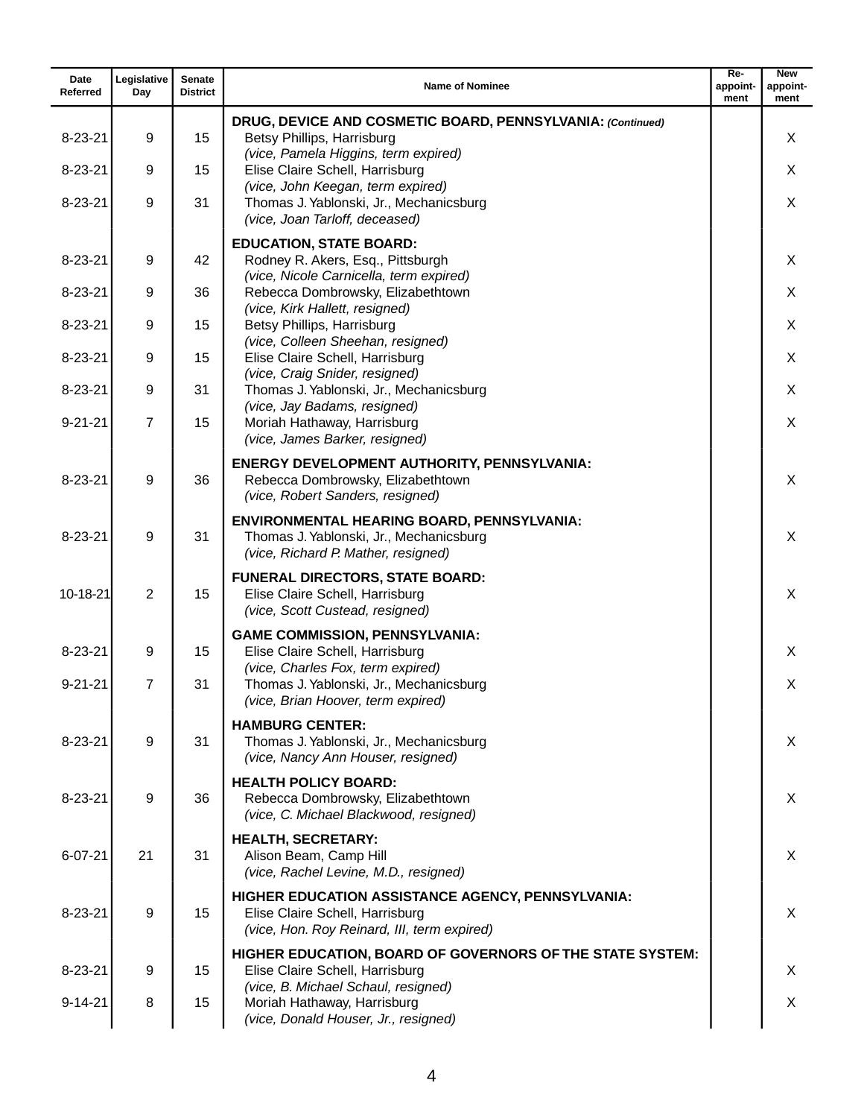| Date<br>Referred | Legislative<br>Day | Senate<br><b>District</b> | <b>Name of Nominee</b>                                                                                                              | $Re-$<br>appoint-<br>ment | <b>New</b><br>appoint-<br>ment |
|------------------|--------------------|---------------------------|-------------------------------------------------------------------------------------------------------------------------------------|---------------------------|--------------------------------|
| $8 - 23 - 21$    | 9                  | 15                        | DRUG, DEVICE AND COSMETIC BOARD, PENNSYLVANIA: (Continued)<br>Betsy Phillips, Harrisburg                                            |                           | X                              |
| $8 - 23 - 21$    | 9                  | 15                        | (vice, Pamela Higgins, term expired)<br>Elise Claire Schell, Harrisburg                                                             |                           | X                              |
| $8 - 23 - 21$    | 9                  | 31                        | (vice, John Keegan, term expired)<br>Thomas J. Yablonski, Jr., Mechanicsburg<br>(vice, Joan Tarloff, deceased)                      |                           | X                              |
| $8 - 23 - 21$    | 9                  | 42                        | <b>EDUCATION, STATE BOARD:</b><br>Rodney R. Akers, Esq., Pittsburgh<br>(vice, Nicole Carnicella, term expired)                      |                           | X                              |
| $8 - 23 - 21$    | 9                  | 36                        | Rebecca Dombrowsky, Elizabethtown                                                                                                   |                           | X                              |
| $8 - 23 - 21$    | 9                  | 15                        | (vice, Kirk Hallett, resigned)<br>Betsy Phillips, Harrisburg<br>(vice, Colleen Sheehan, resigned)                                   |                           | X                              |
| $8 - 23 - 21$    | 9                  | 15                        | Elise Claire Schell, Harrisburg<br>(vice, Craig Snider, resigned)                                                                   |                           | X                              |
| $8 - 23 - 21$    | 9                  | 31                        | Thomas J. Yablonski, Jr., Mechanicsburg                                                                                             |                           | X                              |
| $9 - 21 - 21$    | $\overline{7}$     | 15                        | (vice, Jay Badams, resigned)<br>Moriah Hathaway, Harrisburg<br>(vice, James Barker, resigned)                                       |                           | X                              |
| $8 - 23 - 21$    | 9                  | 36                        | ENERGY DEVELOPMENT AUTHORITY, PENNSYLVANIA:<br>Rebecca Dombrowsky, Elizabethtown<br>(vice, Robert Sanders, resigned)                |                           | X                              |
| $8 - 23 - 21$    | 9                  | 31                        | <b>ENVIRONMENTAL HEARING BOARD, PENNSYLVANIA:</b><br>Thomas J. Yablonski, Jr., Mechanicsburg<br>(vice, Richard P. Mather, resigned) |                           | X                              |
| 10-18-21         | 2                  | 15                        | <b>FUNERAL DIRECTORS, STATE BOARD:</b><br>Elise Claire Schell, Harrisburg<br>(vice, Scott Custead, resigned)                        |                           | X                              |
| $8 - 23 - 21$    | 9                  | 15                        | <b>GAME COMMISSION, PENNSYLVANIA:</b><br>Elise Claire Schell, Harrisburg                                                            |                           | X                              |
| $9 - 21 - 21$    | $\overline{7}$     | 31                        | (vice, Charles Fox, term expired)<br>Thomas J. Yablonski, Jr., Mechanicsburg<br>(vice, Brian Hoover, term expired)                  |                           | X                              |
| $8 - 23 - 21$    | 9                  | 31                        | <b>HAMBURG CENTER:</b><br>Thomas J. Yablonski, Jr., Mechanicsburg<br>(vice, Nancy Ann Houser, resigned)                             |                           | X                              |
| $8 - 23 - 21$    | 9                  | 36                        | <b>HEALTH POLICY BOARD:</b><br>Rebecca Dombrowsky, Elizabethtown<br>(vice, C. Michael Blackwood, resigned)                          |                           | X                              |
| $6 - 07 - 21$    | 21                 | 31                        | <b>HEALTH, SECRETARY:</b><br>Alison Beam, Camp Hill<br>(vice, Rachel Levine, M.D., resigned)                                        |                           | X                              |
| $8 - 23 - 21$    | 9                  | 15                        | HIGHER EDUCATION ASSISTANCE AGENCY, PENNSYLVANIA:<br>Elise Claire Schell, Harrisburg<br>(vice, Hon. Roy Reinard, III, term expired) |                           | X                              |
| $8 - 23 - 21$    | 9                  | 15                        | HIGHER EDUCATION, BOARD OF GOVERNORS OF THE STATE SYSTEM:<br>Elise Claire Schell, Harrisburg                                        |                           | X                              |
| $9 - 14 - 21$    | 8                  | 15                        | (vice, B. Michael Schaul, resigned)<br>Moriah Hathaway, Harrisburg<br>(vice, Donald Houser, Jr., resigned)                          |                           | X                              |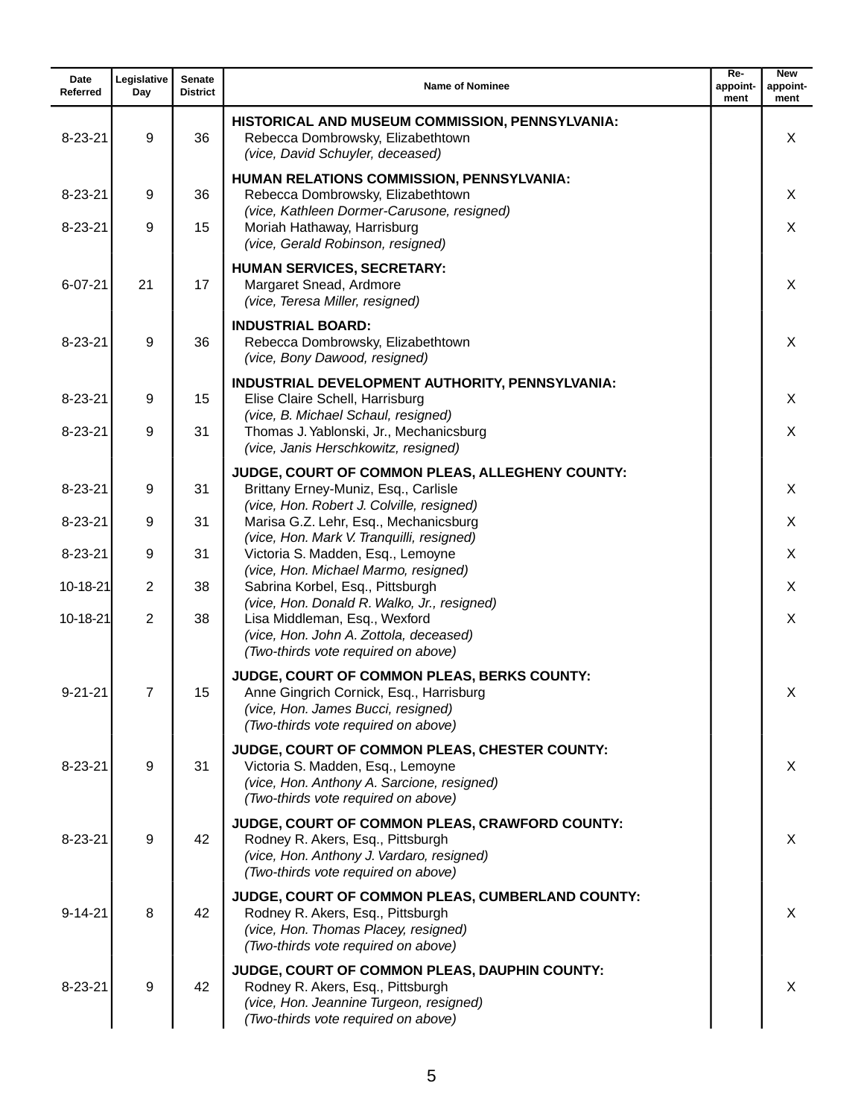| Date<br>Referred | Legislative<br>Day | Senate<br><b>District</b> | <b>Name of Nominee</b>                                                                                                                                                  | $Re-$<br>appoint-<br>ment | <b>New</b><br>appoint-<br>ment |
|------------------|--------------------|---------------------------|-------------------------------------------------------------------------------------------------------------------------------------------------------------------------|---------------------------|--------------------------------|
| $8 - 23 - 21$    | 9                  | 36                        | HISTORICAL AND MUSEUM COMMISSION, PENNSYLVANIA:<br>Rebecca Dombrowsky, Elizabethtown<br>(vice, David Schuyler, deceased)                                                |                           | X                              |
| $8 - 23 - 21$    | 9                  | 36                        | HUMAN RELATIONS COMMISSION, PENNSYLVANIA:<br>Rebecca Dombrowsky, Elizabethtown<br>(vice, Kathleen Dormer-Carusone, resigned)                                            |                           | X                              |
| $8 - 23 - 21$    | 9                  | 15                        | Moriah Hathaway, Harrisburg<br>(vice, Gerald Robinson, resigned)                                                                                                        |                           | X                              |
| $6 - 07 - 21$    | 21                 | 17                        | <b>HUMAN SERVICES, SECRETARY:</b><br>Margaret Snead, Ardmore<br>(vice, Teresa Miller, resigned)                                                                         |                           | X                              |
| $8 - 23 - 21$    | 9                  | 36                        | <b>INDUSTRIAL BOARD:</b><br>Rebecca Dombrowsky, Elizabethtown<br>(vice, Bony Dawood, resigned)                                                                          |                           | X                              |
| $8 - 23 - 21$    | 9                  | 15                        | INDUSTRIAL DEVELOPMENT AUTHORITY, PENNSYLVANIA:<br>Elise Claire Schell, Harrisburg                                                                                      |                           | X                              |
| $8 - 23 - 21$    | 9                  | 31                        | (vice, B. Michael Schaul, resigned)<br>Thomas J. Yablonski, Jr., Mechanicsburg<br>(vice, Janis Herschkowitz, resigned)                                                  |                           | X                              |
| $8 - 23 - 21$    | 9                  | 31                        | JUDGE, COURT OF COMMON PLEAS, ALLEGHENY COUNTY:<br>Brittany Erney-Muniz, Esq., Carlisle<br>(vice, Hon. Robert J. Colville, resigned)                                    |                           | X                              |
| $8 - 23 - 21$    | 9                  | 31                        | Marisa G.Z. Lehr, Esq., Mechanicsburg<br>(vice, Hon. Mark V. Tranquilli, resigned)                                                                                      |                           | X                              |
| $8 - 23 - 21$    | 9                  | 31                        | Victoria S. Madden, Esq., Lemoyne<br>(vice, Hon. Michael Marmo, resigned)                                                                                               |                           | X                              |
| 10-18-21         | $\overline{2}$     | 38                        | Sabrina Korbel, Esq., Pittsburgh                                                                                                                                        |                           | X                              |
| 10-18-21         | $\overline{2}$     | 38                        | (vice, Hon. Donald R. Walko, Jr., resigned)<br>Lisa Middleman, Esq., Wexford<br>(vice, Hon. John A. Zottola, deceased)<br>(Two-thirds vote required on above)           |                           | X                              |
| $9 - 21 - 21$    | $\overline{7}$     | 15                        | JUDGE, COURT OF COMMON PLEAS, BERKS COUNTY:<br>Anne Gingrich Cornick, Esq., Harrisburg<br>(vice, Hon. James Bucci, resigned)<br>(Two-thirds vote required on above)     |                           | X                              |
| $8 - 23 - 21$    | 9                  | 31                        | JUDGE, COURT OF COMMON PLEAS, CHESTER COUNTY:<br>Victoria S. Madden, Esq., Lemoyne<br>(vice, Hon. Anthony A. Sarcione, resigned)<br>(Two-thirds vote required on above) |                           | X                              |
| $8 - 23 - 21$    | 9                  | 42                        | JUDGE, COURT OF COMMON PLEAS, CRAWFORD COUNTY:<br>Rodney R. Akers, Esq., Pittsburgh<br>(vice, Hon. Anthony J. Vardaro, resigned)<br>(Two-thirds vote required on above) |                           | $\times$                       |
| $9 - 14 - 21$    | 8                  | 42                        | JUDGE, COURT OF COMMON PLEAS, CUMBERLAND COUNTY:<br>Rodney R. Akers, Esq., Pittsburgh<br>(vice, Hon. Thomas Placey, resigned)<br>(Two-thirds vote required on above)    |                           | $\times$                       |
| $8 - 23 - 21$    | 9                  | 42                        | JUDGE, COURT OF COMMON PLEAS, DAUPHIN COUNTY:<br>Rodney R. Akers, Esq., Pittsburgh<br>(vice, Hon. Jeannine Turgeon, resigned)<br>(Two-thirds vote required on above)    |                           | X                              |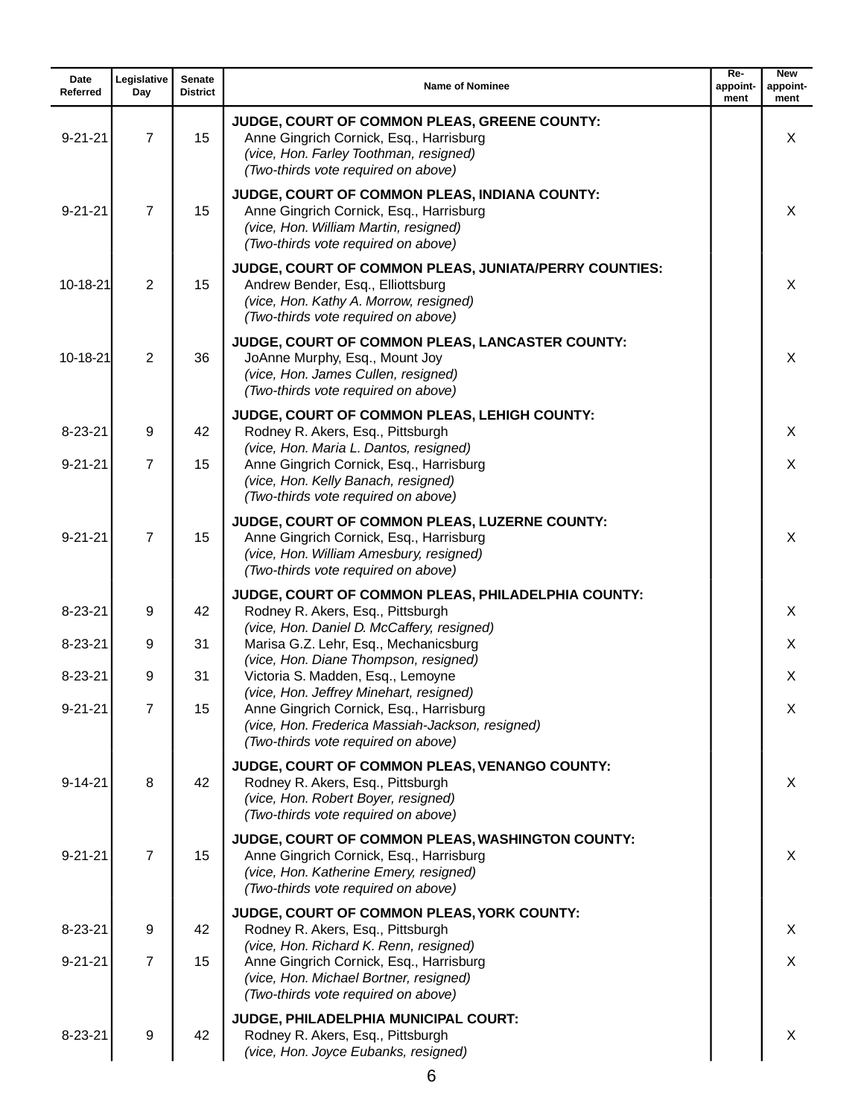| Date<br>Referred | Legislative<br>Day | <b>Senate</b><br><b>District</b> | <b>Name of Nominee</b>                                                                                                                                                        | Re-<br>appoint-<br>ment | <b>New</b><br>appoint-<br>ment |
|------------------|--------------------|----------------------------------|-------------------------------------------------------------------------------------------------------------------------------------------------------------------------------|-------------------------|--------------------------------|
| $9 - 21 - 21$    | $\overline{7}$     | 15                               | JUDGE, COURT OF COMMON PLEAS, GREENE COUNTY:<br>Anne Gingrich Cornick, Esq., Harrisburg<br>(vice, Hon. Farley Toothman, resigned)<br>(Two-thirds vote required on above)      |                         | X                              |
| $9 - 21 - 21$    | $\overline{7}$     | 15                               | JUDGE, COURT OF COMMON PLEAS, INDIANA COUNTY:<br>Anne Gingrich Cornick, Esq., Harrisburg<br>(vice, Hon. William Martin, resigned)<br>(Two-thirds vote required on above)      |                         | X                              |
| 10-18-21         | $\overline{2}$     | 15                               | JUDGE, COURT OF COMMON PLEAS, JUNIATA/PERRY COUNTIES:<br>Andrew Bender, Esq., Elliottsburg<br>(vice, Hon. Kathy A. Morrow, resigned)<br>(Two-thirds vote required on above)   |                         | X                              |
| 10-18-21         | $\overline{2}$     | 36                               | JUDGE, COURT OF COMMON PLEAS, LANCASTER COUNTY:<br>JoAnne Murphy, Esq., Mount Joy<br>(vice, Hon. James Cullen, resigned)<br>(Two-thirds vote required on above)               |                         | X                              |
| $8 - 23 - 21$    | 9                  | 42                               | JUDGE, COURT OF COMMON PLEAS, LEHIGH COUNTY:<br>Rodney R. Akers, Esq., Pittsburgh                                                                                             |                         | X                              |
| $9 - 21 - 21$    | $\overline{7}$     | 15                               | (vice, Hon. Maria L. Dantos, resigned)<br>Anne Gingrich Cornick, Esq., Harrisburg<br>(vice, Hon. Kelly Banach, resigned)<br>(Two-thirds vote required on above)               |                         | X                              |
| $9 - 21 - 21$    | 7                  | 15                               | JUDGE, COURT OF COMMON PLEAS, LUZERNE COUNTY:<br>Anne Gingrich Cornick, Esq., Harrisburg<br>(vice, Hon. William Amesbury, resigned)<br>(Two-thirds vote required on above)    |                         | X                              |
| $8 - 23 - 21$    | 9                  | 42                               | JUDGE, COURT OF COMMON PLEAS, PHILADELPHIA COUNTY:<br>Rodney R. Akers, Esq., Pittsburgh                                                                                       |                         | X                              |
| $8 - 23 - 21$    | 9                  | 31                               | (vice, Hon. Daniel D. McCaffery, resigned)<br>Marisa G.Z. Lehr, Esq., Mechanicsburg                                                                                           |                         | X                              |
| $8 - 23 - 21$    | 9                  | 31                               | (vice, Hon. Diane Thompson, resigned)<br>Victoria S. Madden, Esq., Lemoyne                                                                                                    |                         | X                              |
| $9 - 21 - 21$    | $\overline{7}$     | 15                               | (vice, Hon. Jeffrey Minehart, resigned)<br>Anne Gingrich Cornick, Esq., Harrisburg<br>(vice, Hon. Frederica Massiah-Jackson, resigned)<br>(Two-thirds vote required on above) |                         | X                              |
| $9 - 14 - 21$    | 8                  | 42                               | JUDGE, COURT OF COMMON PLEAS, VENANGO COUNTY:<br>Rodney R. Akers, Esq., Pittsburgh<br>(vice, Hon. Robert Boyer, resigned)<br>(Two-thirds vote required on above)              |                         | X                              |
| $9 - 21 - 21$    | $\overline{7}$     | 15                               | JUDGE, COURT OF COMMON PLEAS, WASHINGTON COUNTY:<br>Anne Gingrich Cornick, Esq., Harrisburg<br>(vice, Hon. Katherine Emery, resigned)<br>(Two-thirds vote required on above)  |                         | X                              |
| $8 - 23 - 21$    | 9                  | 42                               | JUDGE, COURT OF COMMON PLEAS, YORK COUNTY:<br>Rodney R. Akers, Esq., Pittsburgh                                                                                               |                         | X                              |
| $9 - 21 - 21$    | $\overline{7}$     | 15                               | (vice, Hon. Richard K. Renn, resigned)<br>Anne Gingrich Cornick, Esq., Harrisburg<br>(vice, Hon. Michael Bortner, resigned)<br>(Two-thirds vote required on above)            |                         | $\times$                       |
| $8 - 23 - 21$    | 9                  | 42                               | JUDGE, PHILADELPHIA MUNICIPAL COURT:<br>Rodney R. Akers, Esq., Pittsburgh<br>(vice, Hon. Joyce Eubanks, resigned)                                                             |                         | X                              |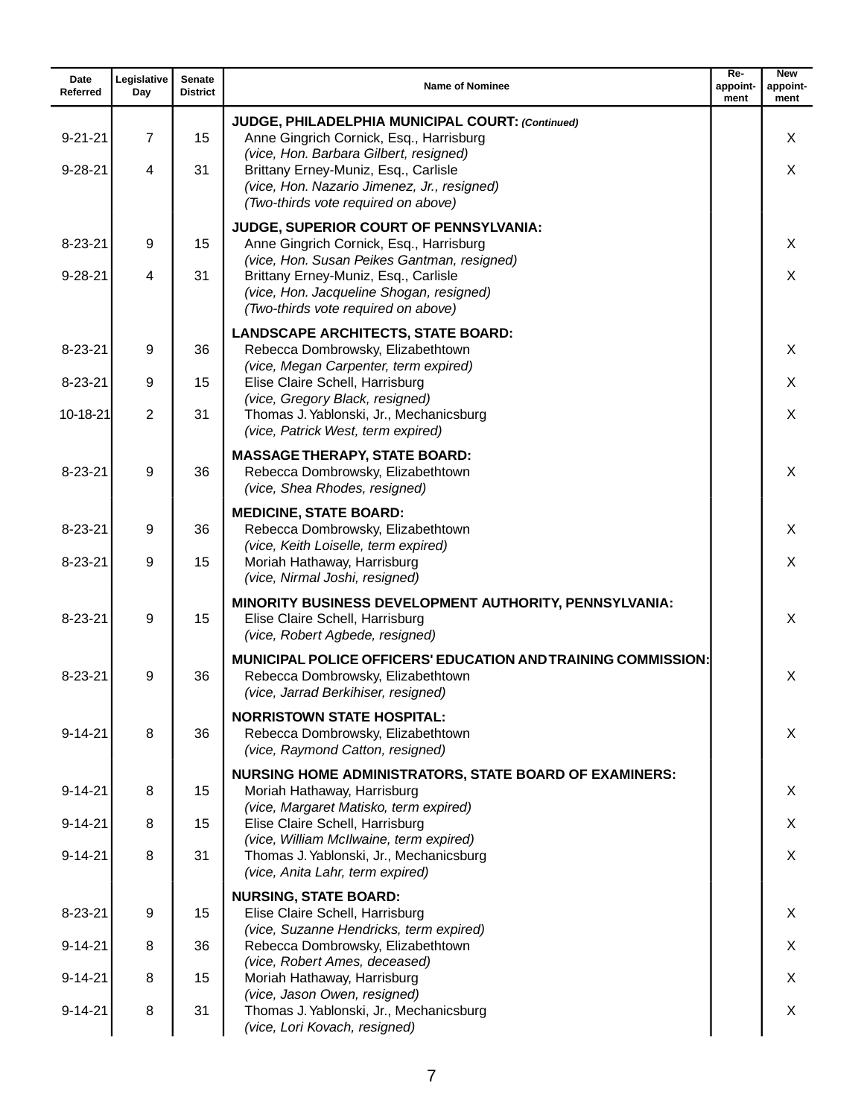| Date<br>Referred | Legislative<br>Day | <b>Senate</b><br><b>District</b> | <b>Name of Nominee</b>                                                                                                                           | $Re-$<br>appoint-<br>ment | <b>New</b><br>appoint-<br>ment |
|------------------|--------------------|----------------------------------|--------------------------------------------------------------------------------------------------------------------------------------------------|---------------------------|--------------------------------|
| $9 - 21 - 21$    | $\overline{7}$     | 15                               | JUDGE, PHILADELPHIA MUNICIPAL COURT: (Continued)<br>Anne Gingrich Cornick, Esq., Harrisburg<br>(vice, Hon. Barbara Gilbert, resigned)            |                           | X                              |
| $9 - 28 - 21$    | 4                  | 31                               | Brittany Erney-Muniz, Esq., Carlisle<br>(vice, Hon. Nazario Jimenez, Jr., resigned)<br>(Two-thirds vote required on above)                       |                           | X                              |
| $8 - 23 - 21$    | 9                  | 15                               | JUDGE, SUPERIOR COURT OF PENNSYLVANIA:<br>Anne Gingrich Cornick, Esq., Harrisburg<br>(vice, Hon. Susan Peikes Gantman, resigned)                 |                           | X                              |
| $9 - 28 - 21$    | $\overline{4}$     | 31                               | Brittany Erney-Muniz, Esq., Carlisle<br>(vice, Hon. Jacqueline Shogan, resigned)<br>(Two-thirds vote required on above)                          |                           | X                              |
| $8 - 23 - 21$    | 9                  | 36                               | <b>LANDSCAPE ARCHITECTS, STATE BOARD:</b><br>Rebecca Dombrowsky, Elizabethtown<br>(vice, Megan Carpenter, term expired)                          |                           | X                              |
| $8 - 23 - 21$    | 9                  | 15                               | Elise Claire Schell, Harrisburg                                                                                                                  |                           | X                              |
| 10-18-21         | 2                  | 31                               | (vice, Gregory Black, resigned)<br>Thomas J. Yablonski, Jr., Mechanicsburg<br>(vice, Patrick West, term expired)                                 |                           | X                              |
| $8 - 23 - 21$    | 9                  | 36                               | <b>MASSAGE THERAPY, STATE BOARD:</b><br>Rebecca Dombrowsky, Elizabethtown<br>(vice, Shea Rhodes, resigned)                                       |                           | X                              |
| $8 - 23 - 21$    | 9                  | 36                               | <b>MEDICINE, STATE BOARD:</b><br>Rebecca Dombrowsky, Elizabethtown<br>(vice, Keith Loiselle, term expired)                                       |                           | X                              |
| $8 - 23 - 21$    | 9                  | 15                               | Moriah Hathaway, Harrisburg<br>(vice, Nirmal Joshi, resigned)                                                                                    |                           | X                              |
| $8 - 23 - 21$    | 9                  | 15                               | MINORITY BUSINESS DEVELOPMENT AUTHORITY, PENNSYLVANIA:<br>Elise Claire Schell, Harrisburg<br>(vice, Robert Agbede, resigned)                     |                           | X                              |
| $8 - 23 - 21$    | 9                  | 36                               | <b>MUNICIPAL POLICE OFFICERS' EDUCATION AND TRAINING COMMISSION:</b><br>Rebecca Dombrowsky, Elizabethtown<br>(vice, Jarrad Berkihiser, resigned) |                           | X                              |
| $9 - 14 - 21$    | 8                  | 36                               | <b>NORRISTOWN STATE HOSPITAL:</b><br>Rebecca Dombrowsky, Elizabethtown<br>(vice, Raymond Catton, resigned)                                       |                           | X                              |
| $9 - 14 - 21$    | 8                  | 15                               | <b>NURSING HOME ADMINISTRATORS, STATE BOARD OF EXAMINERS:</b><br>Moriah Hathaway, Harrisburg<br>(vice, Margaret Matisko, term expired)           |                           | X                              |
| $9 - 14 - 21$    | 8                  | 15                               | Elise Claire Schell, Harrisburg                                                                                                                  |                           | X                              |
| $9 - 14 - 21$    | 8                  | 31                               | (vice, William McIlwaine, term expired)<br>Thomas J. Yablonski, Jr., Mechanicsburg<br>(vice, Anita Lahr, term expired)                           |                           | X                              |
| $8 - 23 - 21$    | 9                  | 15                               | <b>NURSING, STATE BOARD:</b><br>Elise Claire Schell, Harrisburg                                                                                  |                           | X                              |
| $9 - 14 - 21$    | 8                  | 36                               | (vice, Suzanne Hendricks, term expired)<br>Rebecca Dombrowsky, Elizabethtown                                                                     |                           | X                              |
| $9 - 14 - 21$    | 8                  | 15                               | (vice, Robert Ames, deceased)<br>Moriah Hathaway, Harrisburg<br>(vice, Jason Owen, resigned)                                                     |                           | X                              |
| $9 - 14 - 21$    | 8                  | 31                               | Thomas J. Yablonski, Jr., Mechanicsburg<br>(vice, Lori Kovach, resigned)                                                                         |                           | X                              |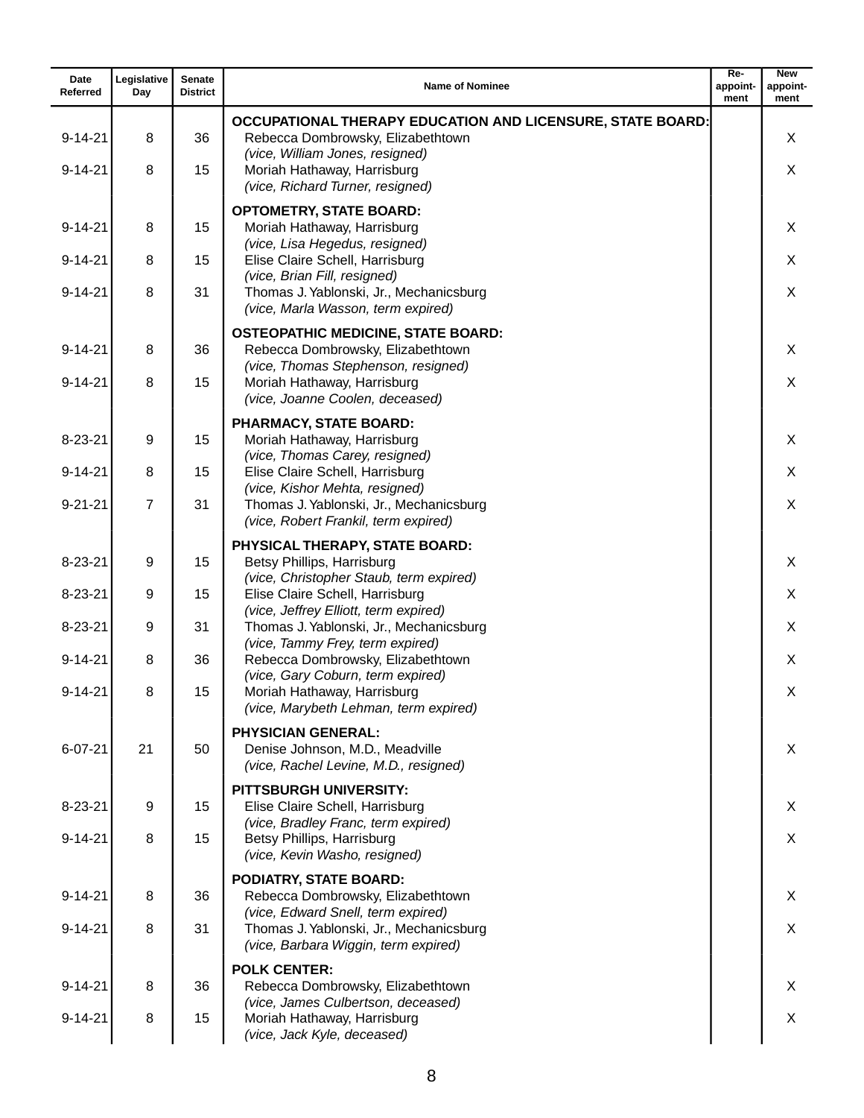| Date<br>Referred | Legislative<br>Day | Senate<br><b>District</b> | <b>Name of Nominee</b>                                                                                                | $Re-$<br>appoint-<br>ment | <b>New</b><br>appoint-<br>ment |
|------------------|--------------------|---------------------------|-----------------------------------------------------------------------------------------------------------------------|---------------------------|--------------------------------|
|                  |                    |                           | OCCUPATIONAL THERAPY EDUCATION AND LICENSURE, STATE BOARD:                                                            |                           |                                |
| $9 - 14 - 21$    | 8                  | 36                        | Rebecca Dombrowsky, Elizabethtown<br>(vice, William Jones, resigned)                                                  |                           | X                              |
| $9 - 14 - 21$    | 8                  | 15                        | Moriah Hathaway, Harrisburg<br>(vice, Richard Turner, resigned)                                                       |                           | X                              |
|                  |                    |                           | <b>OPTOMETRY, STATE BOARD:</b>                                                                                        |                           |                                |
| $9 - 14 - 21$    | 8                  | 15                        | Moriah Hathaway, Harrisburg<br>(vice, Lisa Hegedus, resigned)                                                         |                           | X                              |
| $9 - 14 - 21$    | 8                  | 15                        | Elise Claire Schell, Harrisburg<br>(vice, Brian Fill, resigned)                                                       |                           | X                              |
| $9 - 14 - 21$    | 8                  | 31                        | Thomas J. Yablonski, Jr., Mechanicsburg<br>(vice, Marla Wasson, term expired)                                         |                           | X                              |
| $9 - 14 - 21$    | 8                  | 36                        | <b>OSTEOPATHIC MEDICINE, STATE BOARD:</b><br>Rebecca Dombrowsky, Elizabethtown<br>(vice, Thomas Stephenson, resigned) |                           | X                              |
| $9 - 14 - 21$    | 8                  | 15                        | Moriah Hathaway, Harrisburg<br>(vice, Joanne Coolen, deceased)                                                        |                           | X                              |
| $8 - 23 - 21$    | 9                  | 15                        | <b>PHARMACY, STATE BOARD:</b><br>Moriah Hathaway, Harrisburg                                                          |                           | X                              |
| $9 - 14 - 21$    | 8                  | 15                        | (vice, Thomas Carey, resigned)<br>Elise Claire Schell, Harrisburg                                                     |                           | X                              |
| $9 - 21 - 21$    | $\overline{7}$     | 31                        | (vice, Kishor Mehta, resigned)<br>Thomas J. Yablonski, Jr., Mechanicsburg<br>(vice, Robert Frankil, term expired)     |                           | X                              |
|                  |                    |                           | PHYSICAL THERAPY, STATE BOARD:                                                                                        |                           |                                |
| $8 - 23 - 21$    | 9                  | 15                        | Betsy Phillips, Harrisburg<br>(vice, Christopher Staub, term expired)                                                 |                           | X                              |
| $8 - 23 - 21$    | 9                  | 15                        | Elise Claire Schell, Harrisburg<br>(vice, Jeffrey Elliott, term expired)                                              |                           | X                              |
| $8 - 23 - 21$    | 9                  | 31                        | Thomas J. Yablonski, Jr., Mechanicsburg<br>(vice, Tammy Frey, term expired)                                           |                           | X                              |
| $9 - 14 - 21$    | 8                  | 36                        | Rebecca Dombrowsky, Elizabethtown<br>(vice, Gary Coburn, term expired)                                                |                           | X                              |
| $9 - 14 - 21$    | 8                  | 15                        | Moriah Hathaway, Harrisburg<br>(vice, Marybeth Lehman, term expired)                                                  |                           | X                              |
| $6 - 07 - 21$    | 21                 | 50                        | <b>PHYSICIAN GENERAL:</b><br>Denise Johnson, M.D., Meadville<br>(vice, Rachel Levine, M.D., resigned)                 |                           | X                              |
| $8 - 23 - 21$    | 9                  | 15                        | <b>PITTSBURGH UNIVERSITY:</b><br>Elise Claire Schell, Harrisburg                                                      |                           | X                              |
| $9 - 14 - 21$    | 8                  | 15                        | (vice, Bradley Franc, term expired)<br>Betsy Phillips, Harrisburg<br>(vice, Kevin Washo, resigned)                    |                           | X                              |
|                  |                    |                           | PODIATRY, STATE BOARD:                                                                                                |                           |                                |
| $9 - 14 - 21$    | 8                  | 36                        | Rebecca Dombrowsky, Elizabethtown<br>(vice, Edward Snell, term expired)                                               |                           | X                              |
| $9 - 14 - 21$    | 8                  | 31                        | Thomas J. Yablonski, Jr., Mechanicsburg<br>(vice, Barbara Wiggin, term expired)                                       |                           | X                              |
| $9 - 14 - 21$    | 8                  | 36                        | <b>POLK CENTER:</b><br>Rebecca Dombrowsky, Elizabethtown                                                              |                           | X                              |
| $9 - 14 - 21$    | 8                  | 15                        | (vice, James Culbertson, deceased)<br>Moriah Hathaway, Harrisburg<br>(vice, Jack Kyle, deceased)                      |                           | X                              |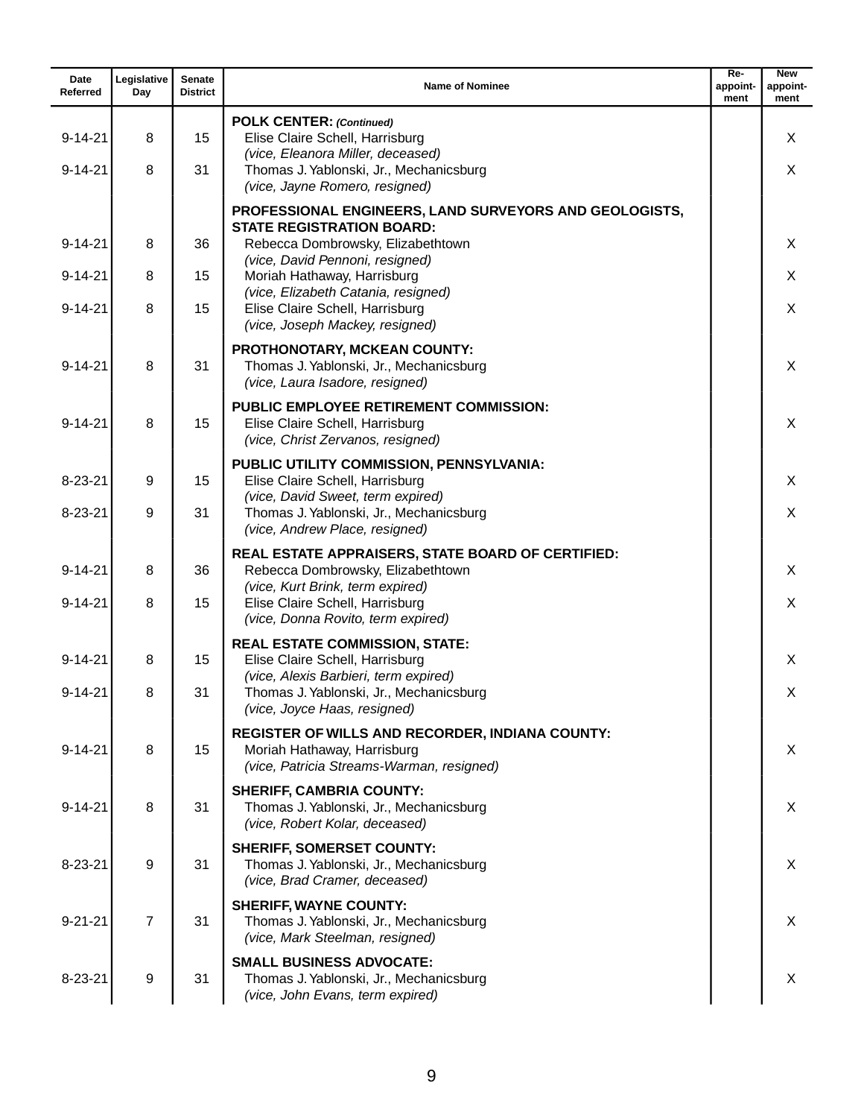| Date<br>Referred               | Legislative<br>Day | <b>Senate</b><br><b>District</b> | <b>Name of Nominee</b>                                                                                                                                             | $Re-$<br>appoint-<br>ment | <b>New</b><br>appoint-<br>ment |
|--------------------------------|--------------------|----------------------------------|--------------------------------------------------------------------------------------------------------------------------------------------------------------------|---------------------------|--------------------------------|
| $9 - 14 - 21$                  | 8                  | 15                               | <b>POLK CENTER: (Continued)</b><br>Elise Claire Schell, Harrisburg<br>(vice, Eleanora Miller, deceased)                                                            |                           | X                              |
| $9 - 14 - 21$                  | 8                  | 31                               | Thomas J. Yablonski, Jr., Mechanicsburg<br>(vice, Jayne Romero, resigned)                                                                                          |                           | X                              |
| $9 - 14 - 21$                  | 8                  | 36                               | PROFESSIONAL ENGINEERS, LAND SURVEYORS AND GEOLOGISTS,<br><b>STATE REGISTRATION BOARD:</b><br>Rebecca Dombrowsky, Elizabethtown<br>(vice, David Pennoni, resigned) |                           | X                              |
| $9 - 14 - 21$<br>$9 - 14 - 21$ | 8<br>8             | 15<br>15                         | Moriah Hathaway, Harrisburg<br>(vice, Elizabeth Catania, resigned)<br>Elise Claire Schell, Harrisburg<br>(vice, Joseph Mackey, resigned)                           |                           | X<br>X                         |
| $9 - 14 - 21$                  | 8                  | 31                               | PROTHONOTARY, MCKEAN COUNTY:<br>Thomas J. Yablonski, Jr., Mechanicsburg<br>(vice, Laura Isadore, resigned)                                                         |                           | X                              |
| $9 - 14 - 21$                  | 8                  | 15                               | <b>PUBLIC EMPLOYEE RETIREMENT COMMISSION:</b><br>Elise Claire Schell, Harrisburg<br>(vice, Christ Zervanos, resigned)                                              |                           | X                              |
| $8 - 23 - 21$                  | 9                  | 15                               | PUBLIC UTILITY COMMISSION, PENNSYLVANIA:<br>Elise Claire Schell, Harrisburg                                                                                        |                           | X                              |
| $8 - 23 - 21$                  | 9                  | 31                               | (vice, David Sweet, term expired)<br>Thomas J. Yablonski, Jr., Mechanicsburg<br>(vice, Andrew Place, resigned)                                                     |                           | X                              |
| $9 - 14 - 21$                  | 8                  | 36                               | REAL ESTATE APPRAISERS, STATE BOARD OF CERTIFIED:<br>Rebecca Dombrowsky, Elizabethtown<br>(vice, Kurt Brink, term expired)                                         |                           | X                              |
| $9 - 14 - 21$                  | 8                  | 15                               | Elise Claire Schell, Harrisburg<br>(vice, Donna Rovito, term expired)                                                                                              |                           | X                              |
| $9 - 14 - 21$                  | 8                  | 15                               | <b>REAL ESTATE COMMISSION, STATE:</b><br>Elise Claire Schell, Harrisburg<br>(vice, Alexis Barbieri, term expired)                                                  |                           | X                              |
| $9 - 14 - 21$                  | 8                  | 31                               | Thomas J. Yablonski, Jr., Mechanicsburg<br>(vice, Joyce Haas, resigned)                                                                                            |                           | X                              |
| $9 - 14 - 21$                  | 8                  | 15                               | REGISTER OF WILLS AND RECORDER, INDIANA COUNTY:<br>Moriah Hathaway, Harrisburg<br>(vice, Patricia Streams-Warman, resigned)                                        |                           | X                              |
| $9 - 14 - 21$                  | 8                  | 31                               | <b>SHERIFF, CAMBRIA COUNTY:</b><br>Thomas J. Yablonski, Jr., Mechanicsburg<br>(vice, Robert Kolar, deceased)                                                       |                           | X                              |
| $8 - 23 - 21$                  | 9                  | 31                               | <b>SHERIFF, SOMERSET COUNTY:</b><br>Thomas J. Yablonski, Jr., Mechanicsburg<br>(vice, Brad Cramer, deceased)                                                       |                           | X                              |
| $9 - 21 - 21$                  | $\overline{7}$     | 31                               | <b>SHERIFF, WAYNE COUNTY:</b><br>Thomas J. Yablonski, Jr., Mechanicsburg<br>(vice, Mark Steelman, resigned)                                                        |                           | X                              |
| $8 - 23 - 21$                  | 9                  | 31                               | <b>SMALL BUSINESS ADVOCATE:</b><br>Thomas J. Yablonski, Jr., Mechanicsburg<br>(vice, John Evans, term expired)                                                     |                           | X                              |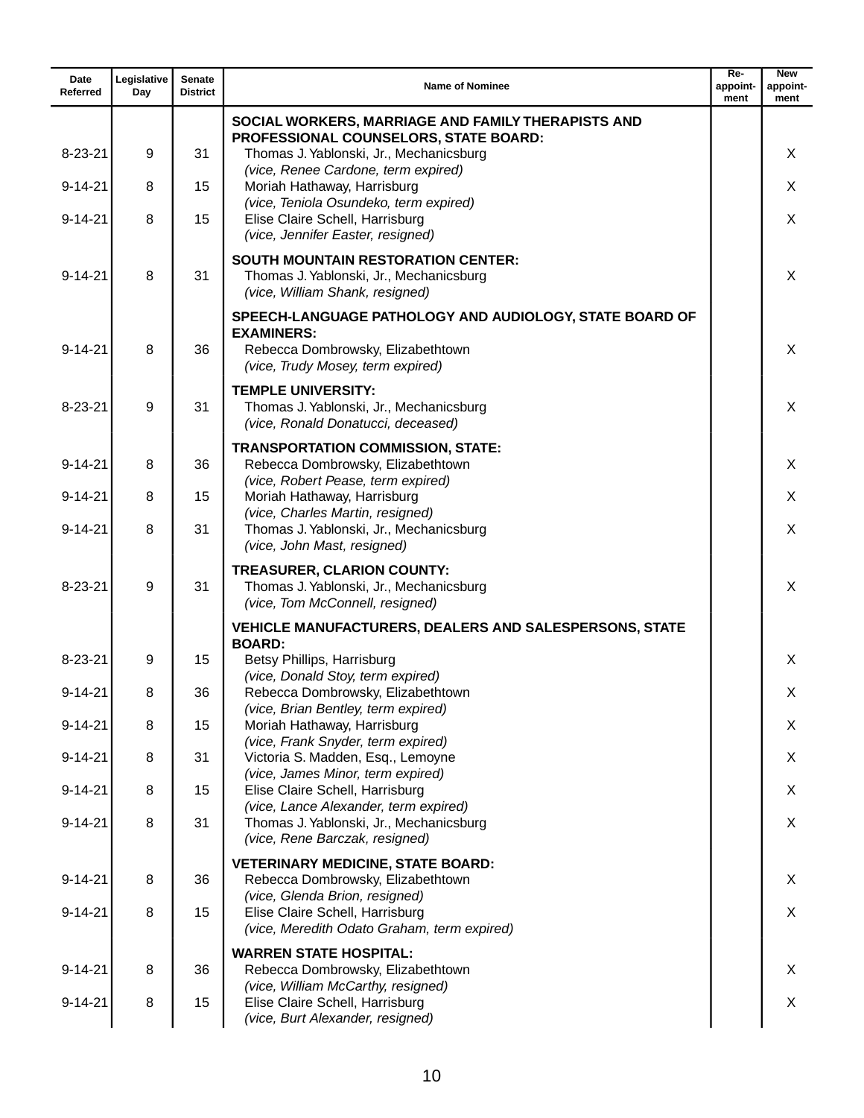| Date<br>Referred | Legislative<br>Day | <b>Senate</b><br><b>District</b> | <b>Name of Nominee</b>                                                                                                                                 | $Re-$<br>appoint-<br>ment | <b>New</b><br>appoint-<br>ment |
|------------------|--------------------|----------------------------------|--------------------------------------------------------------------------------------------------------------------------------------------------------|---------------------------|--------------------------------|
|                  |                    |                                  | SOCIAL WORKERS, MARRIAGE AND FAMILY THERAPISTS AND                                                                                                     |                           |                                |
| $8 - 23 - 21$    | 9                  | 31                               | PROFESSIONAL COUNSELORS, STATE BOARD:<br>Thomas J. Yablonski, Jr., Mechanicsburg                                                                       |                           | X                              |
| $9 - 14 - 21$    | 8                  | 15                               | (vice, Renee Cardone, term expired)<br>Moriah Hathaway, Harrisburg                                                                                     |                           | X                              |
| $9 - 14 - 21$    | 8                  | 15                               | (vice, Teniola Osundeko, term expired)<br>Elise Claire Schell, Harrisburg<br>(vice, Jennifer Easter, resigned)                                         |                           | X                              |
| $9 - 14 - 21$    | 8                  | 31                               | <b>SOUTH MOUNTAIN RESTORATION CENTER:</b><br>Thomas J. Yablonski, Jr., Mechanicsburg<br>(vice, William Shank, resigned)                                |                           | X                              |
| $9 - 14 - 21$    | 8                  | 36                               | SPEECH-LANGUAGE PATHOLOGY AND AUDIOLOGY, STATE BOARD OF<br><b>EXAMINERS:</b><br>Rebecca Dombrowsky, Elizabethtown<br>(vice, Trudy Mosey, term expired) |                           | X                              |
| $8 - 23 - 21$    | 9                  | 31                               | <b>TEMPLE UNIVERSITY:</b><br>Thomas J. Yablonski, Jr., Mechanicsburg<br>(vice, Ronald Donatucci, deceased)                                             |                           | X                              |
| $9 - 14 - 21$    | 8                  | 36                               | <b>TRANSPORTATION COMMISSION, STATE:</b><br>Rebecca Dombrowsky, Elizabethtown<br>(vice, Robert Pease, term expired)                                    |                           | X                              |
| $9 - 14 - 21$    | 8                  | 15                               | Moriah Hathaway, Harrisburg                                                                                                                            |                           | X                              |
| $9 - 14 - 21$    | 8                  | 31                               | (vice, Charles Martin, resigned)<br>Thomas J. Yablonski, Jr., Mechanicsburg<br>(vice, John Mast, resigned)                                             |                           | X                              |
| $8 - 23 - 21$    | 9                  | 31                               | <b>TREASURER, CLARION COUNTY:</b><br>Thomas J. Yablonski, Jr., Mechanicsburg<br>(vice, Tom McConnell, resigned)                                        |                           | X                              |
|                  |                    |                                  | <b>VEHICLE MANUFACTURERS, DEALERS AND SALESPERSONS, STATE</b><br><b>BOARD:</b>                                                                         |                           |                                |
| $8 - 23 - 21$    | 9                  | 15                               | Betsy Phillips, Harrisburg                                                                                                                             |                           | X                              |
| $9 - 14 - 21$    | 8                  | 36                               | (vice, Donald Stoy, term expired)<br>Rebecca Dombrowsky, Elizabethtown                                                                                 |                           | Χ                              |
| $9 - 14 - 21$    | 8                  | 15                               | (vice, Brian Bentley, term expired)<br>Moriah Hathaway, Harrisburg                                                                                     |                           | X                              |
| $9 - 14 - 21$    | 8                  | 31                               | (vice, Frank Snyder, term expired)<br>Victoria S. Madden, Esq., Lemoyne                                                                                |                           | X                              |
| $9 - 14 - 21$    | 8                  | 15                               | (vice, James Minor, term expired)<br>Elise Claire Schell, Harrisburg                                                                                   |                           | X                              |
| $9 - 14 - 21$    | 8                  | 31                               | (vice, Lance Alexander, term expired)<br>Thomas J. Yablonski, Jr., Mechanicsburg<br>(vice, Rene Barczak, resigned)                                     |                           | X                              |
|                  |                    |                                  | <b>VETERINARY MEDICINE, STATE BOARD:</b>                                                                                                               |                           |                                |
| $9 - 14 - 21$    | 8                  | 36                               | Rebecca Dombrowsky, Elizabethtown<br>(vice, Glenda Brion, resigned)                                                                                    |                           | X                              |
| $9 - 14 - 21$    | 8                  | 15                               | Elise Claire Schell, Harrisburg<br>(vice, Meredith Odato Graham, term expired)                                                                         |                           | X                              |
| $9 - 14 - 21$    | 8                  | 36                               | <b>WARREN STATE HOSPITAL:</b><br>Rebecca Dombrowsky, Elizabethtown                                                                                     |                           | X                              |
| $9 - 14 - 21$    | 8                  | 15                               | (vice, William McCarthy, resigned)<br>Elise Claire Schell, Harrisburg                                                                                  |                           | X                              |
|                  |                    |                                  | (vice, Burt Alexander, resigned)                                                                                                                       |                           |                                |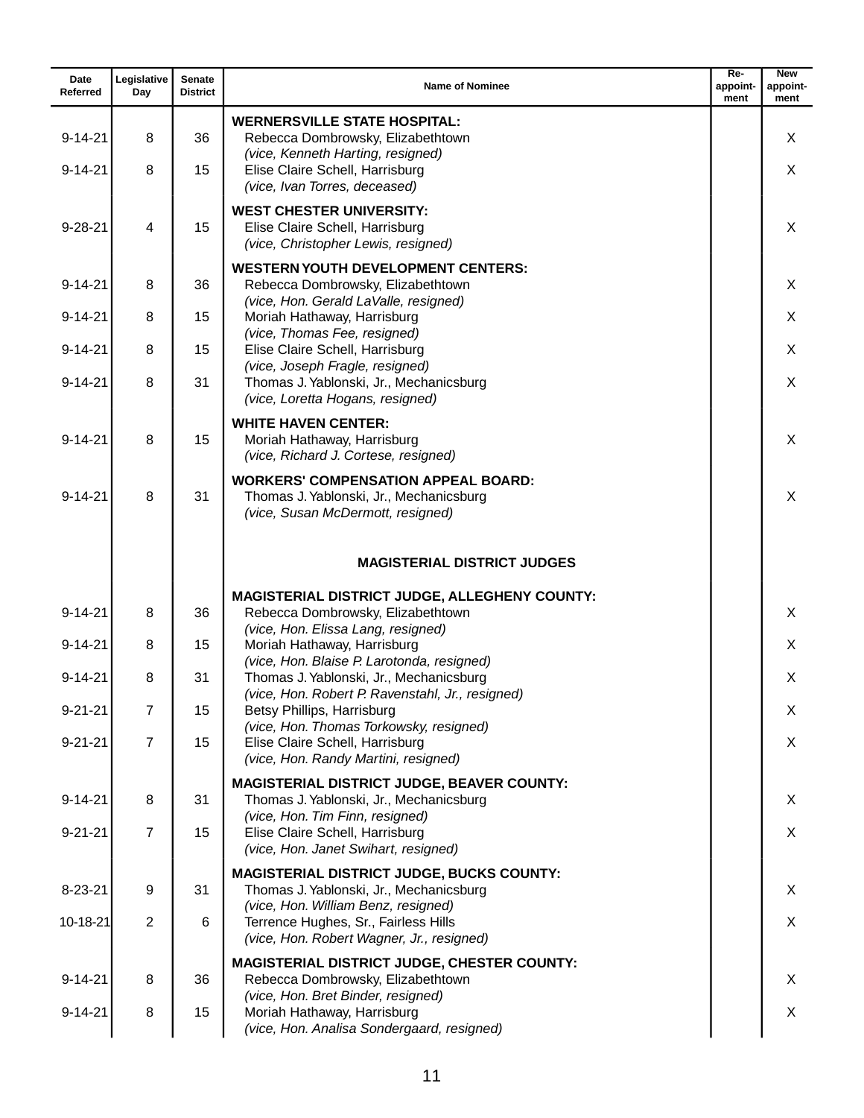| Date<br>Referred | Legislative<br>Day | Senate<br><b>District</b> | <b>Name of Nominee</b>                                                                                                                    | Re-<br>appoint-<br>ment | <b>New</b><br>appoint-<br>ment |
|------------------|--------------------|---------------------------|-------------------------------------------------------------------------------------------------------------------------------------------|-------------------------|--------------------------------|
| $9 - 14 - 21$    | 8                  | 36                        | <b>WERNERSVILLE STATE HOSPITAL:</b><br>Rebecca Dombrowsky, Elizabethtown<br>(vice, Kenneth Harting, resigned)                             |                         | X                              |
| $9 - 14 - 21$    | 8                  | 15                        | Elise Claire Schell, Harrisburg<br>(vice, Ivan Torres, deceased)                                                                          |                         | X                              |
| $9 - 28 - 21$    | 4                  | 15                        | <b>WEST CHESTER UNIVERSITY:</b><br>Elise Claire Schell, Harrisburg<br>(vice, Christopher Lewis, resigned)                                 |                         | X                              |
| $9 - 14 - 21$    | 8                  | 36                        | <b>WESTERN YOUTH DEVELOPMENT CENTERS:</b><br>Rebecca Dombrowsky, Elizabethtown<br>(vice, Hon. Gerald LaValle, resigned)                   |                         | X                              |
| $9 - 14 - 21$    | 8                  | 15                        | Moriah Hathaway, Harrisburg                                                                                                               |                         | X                              |
| $9 - 14 - 21$    | 8                  | 15                        | (vice, Thomas Fee, resigned)<br>Elise Claire Schell, Harrisburg<br>(vice, Joseph Fragle, resigned)                                        |                         | X                              |
| $9 - 14 - 21$    | 8                  | 31                        | Thomas J. Yablonski, Jr., Mechanicsburg<br>(vice, Loretta Hogans, resigned)                                                               |                         | X                              |
| $9 - 14 - 21$    | 8                  | 15                        | <b>WHITE HAVEN CENTER:</b><br>Moriah Hathaway, Harrisburg<br>(vice, Richard J. Cortese, resigned)                                         |                         | X                              |
| $9 - 14 - 21$    | 8                  | 31                        | <b>WORKERS' COMPENSATION APPEAL BOARD:</b><br>Thomas J. Yablonski, Jr., Mechanicsburg<br>(vice, Susan McDermott, resigned)                |                         | X                              |
|                  |                    |                           | <b>MAGISTERIAL DISTRICT JUDGES</b>                                                                                                        |                         |                                |
| $9 - 14 - 21$    | 8                  | 36                        | <b>MAGISTERIAL DISTRICT JUDGE, ALLEGHENY COUNTY:</b><br>Rebecca Dombrowsky, Elizabethtown<br>(vice, Hon. Elissa Lang, resigned)           |                         | X                              |
| $9 - 14 - 21$    | 8                  | 15                        | Moriah Hathaway, Harrisburg                                                                                                               |                         | X                              |
| $9 - 14 - 21$    | 8                  | 31                        | (vice, Hon. Blaise P. Larotonda, resigned)<br>Thomas J. Yablonski, Jr., Mechanicsburg<br>(vice, Hon. Robert P. Ravenstahl, Jr., resigned) |                         | X                              |
| $9 - 21 - 21$    | $\overline{7}$     | 15                        | Betsy Phillips, Harrisburg<br>(vice, Hon. Thomas Torkowsky, resigned)                                                                     |                         | X                              |
| $9 - 21 - 21$    | $\overline{7}$     | 15                        | Elise Claire Schell, Harrisburg<br>(vice, Hon. Randy Martini, resigned)                                                                   |                         | X                              |
| $9 - 14 - 21$    | 8                  | 31                        | <b>MAGISTERIAL DISTRICT JUDGE, BEAVER COUNTY:</b><br>Thomas J. Yablonski, Jr., Mechanicsburg                                              |                         | X                              |
| $9 - 21 - 21$    | $\overline{7}$     | 15                        | (vice, Hon. Tim Finn, resigned)<br>Elise Claire Schell, Harrisburg<br>(vice, Hon. Janet Swihart, resigned)                                |                         | X                              |
| $8 - 23 - 21$    | 9                  | 31                        | <b>MAGISTERIAL DISTRICT JUDGE, BUCKS COUNTY:</b><br>Thomas J. Yablonski, Jr., Mechanicsburg                                               |                         | X                              |
| 10-18-21         | $\overline{2}$     | 6                         | (vice, Hon. William Benz, resigned)<br>Terrence Hughes, Sr., Fairless Hills<br>(vice, Hon. Robert Wagner, Jr., resigned)                  |                         | X                              |
| $9 - 14 - 21$    | 8                  | 36                        | <b>MAGISTERIAL DISTRICT JUDGE, CHESTER COUNTY:</b><br>Rebecca Dombrowsky, Elizabethtown<br>(vice, Hon. Bret Binder, resigned)             |                         | X                              |
| $9 - 14 - 21$    | 8                  | 15                        | Moriah Hathaway, Harrisburg<br>(vice, Hon. Analisa Sondergaard, resigned)                                                                 |                         | X                              |